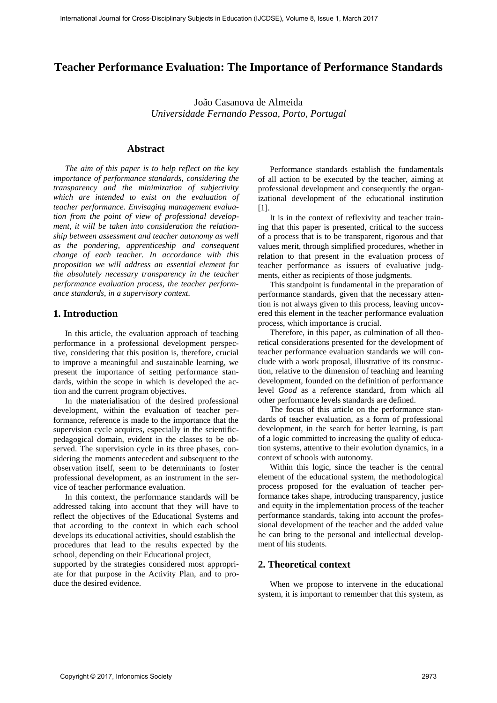# **Teacher Performance Evaluation: The Importance of Performance Standards**

João Casanova de Almeida *Universidade Fernando Pessoa, Porto, Portugal*

### **Abstract**

*The aim of this paper is to help reflect on the key importance of performance standards, considering the transparency and the minimization of subjectivity which are intended to exist on the evaluation of teacher performance. Envisaging management evaluation from the point of view of professional development, it will be taken into consideration the relationship between assessment and teacher autonomy as well as the pondering, apprenticeship and consequent change of each teacher. In accordance with this proposition we will address an essential element for the absolutely necessary transparency in the teacher performance evaluation process, the teacher performance standards, in a supervisory context.*  Figures 2.6 of Cross-Disciplines Subsections in the Cross-Discipline Scheme of Performance Standard Journal March 2013 (Subjects in Eq. 2013). The case of Alexander Standard March 2013 (Subjects in Eq. 2013) (Subjects in

### **1. Introduction**

In this article, the evaluation approach of teaching performance in a professional development perspective, considering that this position is, therefore, crucial to improve a meaningful and sustainable learning, we present the importance of setting performance standards, within the scope in which is developed the action and the current program objectives.

In the materialisation of the desired professional development, within the evaluation of teacher performance, reference is made to the importance that the supervision cycle acquires, especially in the scientificpedagogical domain, evident in the classes to be observed. The supervision cycle in its three phases, considering the moments antecedent and subsequent to the observation itself, seem to be determinants to foster professional development, as an instrument in the service of teacher performance evaluation.

In this context, the performance standards will be addressed taking into account that they will have to reflect the objectives of the Educational Systems and that according to the context in which each school develops its educational activities, should establish the procedures that lead to the results expected by the school, depending on their Educational project,

supported by the strategies considered most appropriate for that purpose in the Activity Plan, and to produce the desired evidence.

Performance standards establish the fundamentals of all action to be executed by the teacher, aiming at professional development and consequently the organizational development of the educational institution [1].

It is in the context of reflexivity and teacher training that this paper is presented, critical to the success of a process that is to be transparent, rigorous and that values merit, through simplified procedures, whether in relation to that present in the evaluation process of teacher performance as issuers of evaluative judgments, either as recipients of those judgments.

This standpoint is fundamental in the preparation of performance standards, given that the necessary attention is not always given to this process, leaving uncovered this element in the teacher performance evaluation process, which importance is crucial.

Therefore, in this paper, as culmination of all theoretical considerations presented for the development of teacher performance evaluation standards we will conclude with a work proposal, illustrative of its construction, relative to the dimension of teaching and learning development, founded on the definition of performance level *Good* as a reference standard, from which all other performance levels standards are defined.

The focus of this article on the performance standards of teacher evaluation, as a form of professional development, in the search for better learning, is part of a logic committed to increasing the quality of education systems, attentive to their evolution dynamics, in a context of schools with autonomy.

Within this logic, since the teacher is the central element of the educational system, the methodological process proposed for the evaluation of teacher performance takes shape, introducing transparency, justice and equity in the implementation process of the teacher performance standards, taking into account the professional development of the teacher and the added value he can bring to the personal and intellectual development of his students.

## **2. Theoretical context**

When we propose to intervene in the educational system, it is important to remember that this system, as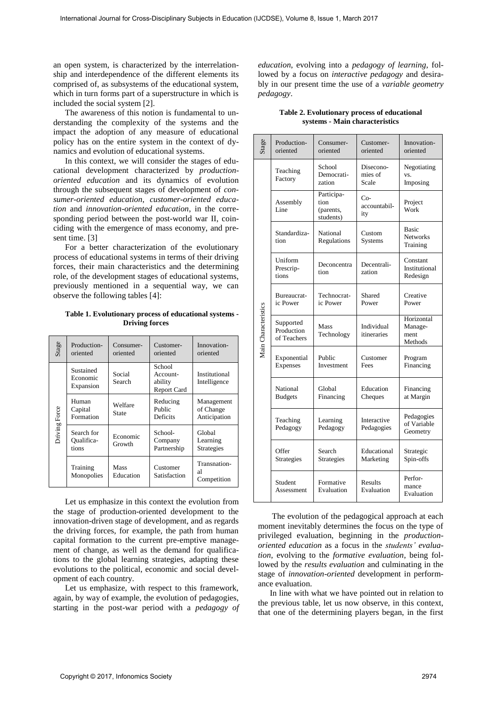**Table 1. Evolutionary process of educational systems - Driving forces** 

| Stage         | Production-<br>oriented            | Consumer-<br>oriented    | Customer-<br>oriented                        | Innovation-<br>oriented                 |
|---------------|------------------------------------|--------------------------|----------------------------------------------|-----------------------------------------|
|               | Sustained<br>Economic<br>Expansion | Social<br>Search         | School<br>Account-<br>ability<br>Report Card | Institutional<br>Intelligence           |
| Driving Force | Human<br>Capital<br>Formation      | Welfare<br>State         | Reducing<br>Public<br>Deficits               | Management<br>of Change<br>Anticipation |
|               | Search for<br>Oualifica-<br>tions  | Economic<br>Growth       | School-<br>Company<br>Partnership            | Global<br>Learning<br>Strategies        |
|               | Training<br>Monopolies             | <b>Mass</b><br>Education | Customer<br>Satisfaction                     | Transnation-<br>al<br>Competition       |

|                                                                                                                                                                                                                                                                                                                                                                                                                                                                                                                                                                                                                                                                                                                                                                                       |                                                                                                                          |                                             | open system, is characterized by the interrelation-<br>ip and interdependence of the different elements its<br>mprised of, as subsystems of the educational system,<br>hich in turn forms part of a superstructure in which is                                                                                                                                                                                                                                                                              |                                        | pedagogy.                  | <i>education</i> , evolving into a <i>pedagogy of learning</i> , fol-<br>lowed by a focus on <i>interactive pedagogy</i> and desira-<br>bly in our present time the use of a variable geometry                                                                                                                                                                                                                                                                                                                                                                                                               |                                          |                                      |
|---------------------------------------------------------------------------------------------------------------------------------------------------------------------------------------------------------------------------------------------------------------------------------------------------------------------------------------------------------------------------------------------------------------------------------------------------------------------------------------------------------------------------------------------------------------------------------------------------------------------------------------------------------------------------------------------------------------------------------------------------------------------------------------|--------------------------------------------------------------------------------------------------------------------------|---------------------------------------------|-------------------------------------------------------------------------------------------------------------------------------------------------------------------------------------------------------------------------------------------------------------------------------------------------------------------------------------------------------------------------------------------------------------------------------------------------------------------------------------------------------------|----------------------------------------|----------------------------|--------------------------------------------------------------------------------------------------------------------------------------------------------------------------------------------------------------------------------------------------------------------------------------------------------------------------------------------------------------------------------------------------------------------------------------------------------------------------------------------------------------------------------------------------------------------------------------------------------------|------------------------------------------|--------------------------------------|
|                                                                                                                                                                                                                                                                                                                                                                                                                                                                                                                                                                                                                                                                                                                                                                                       | cluded the social system [2].                                                                                            |                                             | The awareness of this notion is fundamental to un-<br>erstanding the complexity of the systems and the<br>upact the adoption of any measure of educational                                                                                                                                                                                                                                                                                                                                                  |                                        |                            | Table 2. Evolutionary process of educational<br>systems - Main characteristics                                                                                                                                                                                                                                                                                                                                                                                                                                                                                                                               |                                          |                                      |
|                                                                                                                                                                                                                                                                                                                                                                                                                                                                                                                                                                                                                                                                                                                                                                                       |                                                                                                                          | imics and evolution of educational systems. | blicy has on the entire system in the context of dy-                                                                                                                                                                                                                                                                                                                                                                                                                                                        | Stage                                  | Production-<br>oriented    | Consumer-<br>oriented                                                                                                                                                                                                                                                                                                                                                                                                                                                                                                                                                                                        | Customer-<br>oriented                    | Innovation-<br>oriented              |
| In this context, we will consider the stages of edu-<br>tional development characterized by <i>production</i> -<br>iented education and its dynamics of evolution<br>rough the subsequent stages of development of con-<br>mer-oriented education, customer-oriented educa-<br>on and innovation-oriented education, in the corre-<br>onding period between the post-world war II, coin-<br>ding with the emergence of mass economy, and pre-<br>nt time. $[3]$<br>For a better characterization of the evolutionary<br>ocess of educational systems in terms of their driving<br>rces, their main characteristics and the determining<br>le, of the development stages of educational systems,<br>eviously mentioned in a sequential way, we can<br>oserve the following tables [4]: |                                                                                                                          |                                             |                                                                                                                                                                                                                                                                                                                                                                                                                                                                                                             |                                        | Teaching<br>Factory        | School<br>Democrati-<br>zation                                                                                                                                                                                                                                                                                                                                                                                                                                                                                                                                                                               | Disecono-<br>mies of<br>Scale            | Negotiating<br>VS.<br>Imposing       |
|                                                                                                                                                                                                                                                                                                                                                                                                                                                                                                                                                                                                                                                                                                                                                                                       |                                                                                                                          |                                             |                                                                                                                                                                                                                                                                                                                                                                                                                                                                                                             |                                        | Assembly<br>Line           | Participa-<br>tion<br>(parents,<br>students)                                                                                                                                                                                                                                                                                                                                                                                                                                                                                                                                                                 | $Co-$<br>accountabil-<br>ity             | Project<br>Work                      |
|                                                                                                                                                                                                                                                                                                                                                                                                                                                                                                                                                                                                                                                                                                                                                                                       |                                                                                                                          |                                             |                                                                                                                                                                                                                                                                                                                                                                                                                                                                                                             |                                        | Standardiza-<br>tion       | National<br>Regulations                                                                                                                                                                                                                                                                                                                                                                                                                                                                                                                                                                                      | Custom<br><b>Systems</b>                 | <b>Basic</b><br>Networks<br>Training |
|                                                                                                                                                                                                                                                                                                                                                                                                                                                                                                                                                                                                                                                                                                                                                                                       |                                                                                                                          |                                             |                                                                                                                                                                                                                                                                                                                                                                                                                                                                                                             | Uniform<br>Prescrip-<br>tions          | Deconcentra<br>tion        | Decentrali-<br>zation                                                                                                                                                                                                                                                                                                                                                                                                                                                                                                                                                                                        | Constant<br>Institutional<br>Redesign    |                                      |
|                                                                                                                                                                                                                                                                                                                                                                                                                                                                                                                                                                                                                                                                                                                                                                                       |                                                                                                                          |                                             |                                                                                                                                                                                                                                                                                                                                                                                                                                                                                                             | Bureaucrat-<br>ic Power                | Technocrat-<br>ic Power    | Shared<br>Power                                                                                                                                                                                                                                                                                                                                                                                                                                                                                                                                                                                              | Creative<br>Power                        |                                      |
| Production-                                                                                                                                                                                                                                                                                                                                                                                                                                                                                                                                                                                                                                                                                                                                                                           | Table 1. Evolutionary process of educational systems -<br><b>Driving forces</b><br>Innovation-<br>Consumer-<br>Customer- |                                             | Main Characteristics                                                                                                                                                                                                                                                                                                                                                                                                                                                                                        | Supported<br>Production<br>of Teachers | Mass<br>Technology         | Individual<br>itineraries                                                                                                                                                                                                                                                                                                                                                                                                                                                                                                                                                                                    | Horizontal<br>Manage-<br>ment<br>Methods |                                      |
| oriented<br>Sustained                                                                                                                                                                                                                                                                                                                                                                                                                                                                                                                                                                                                                                                                                                                                                                 | oriented                                                                                                                 | oriented<br>School                          | oriented                                                                                                                                                                                                                                                                                                                                                                                                                                                                                                    |                                        | Exponential<br>Expenses    | Public<br>Investment                                                                                                                                                                                                                                                                                                                                                                                                                                                                                                                                                                                         | Customer<br>Fees                         | Program<br>Financing                 |
| Economic<br>Expansion                                                                                                                                                                                                                                                                                                                                                                                                                                                                                                                                                                                                                                                                                                                                                                 | Social<br>Search                                                                                                         | Account-<br>ability<br>Report Card          | Institutional<br>Intelligence                                                                                                                                                                                                                                                                                                                                                                                                                                                                               |                                        | National<br><b>Budgets</b> | Global<br>Financing                                                                                                                                                                                                                                                                                                                                                                                                                                                                                                                                                                                          | Education<br>Cheques                     | Financing<br>at Margin               |
| Human<br>Capital<br>Formation                                                                                                                                                                                                                                                                                                                                                                                                                                                                                                                                                                                                                                                                                                                                                         | Welfare<br><b>State</b>                                                                                                  | Reducing<br>Public<br>Deficits              | Management<br>of Change<br>Anticipation                                                                                                                                                                                                                                                                                                                                                                                                                                                                     |                                        | Teaching                   | Learning                                                                                                                                                                                                                                                                                                                                                                                                                                                                                                                                                                                                     | Interactive                              | Pedagogies<br>of Variable            |
| Search for<br>Qualifica-<br>tions                                                                                                                                                                                                                                                                                                                                                                                                                                                                                                                                                                                                                                                                                                                                                     | Economic<br>Growth                                                                                                       | School-<br>Company<br>Partnership           | Global<br>Learning<br>Strategies                                                                                                                                                                                                                                                                                                                                                                                                                                                                            |                                        | Pedagogy<br>Offer          | Pedagogy<br>Search                                                                                                                                                                                                                                                                                                                                                                                                                                                                                                                                                                                           | Pedagogies<br>Educational                | Geometry<br>Strategic                |
| Training<br>Monopolies                                                                                                                                                                                                                                                                                                                                                                                                                                                                                                                                                                                                                                                                                                                                                                | Mass<br>Education                                                                                                        | Customer<br>Satisfaction                    | Transnation-<br>al<br>Competition                                                                                                                                                                                                                                                                                                                                                                                                                                                                           |                                        | Strategies                 | Strategies                                                                                                                                                                                                                                                                                                                                                                                                                                                                                                                                                                                                   | Marketing                                | Spin-offs<br>Perfor-                 |
|                                                                                                                                                                                                                                                                                                                                                                                                                                                                                                                                                                                                                                                                                                                                                                                       |                                                                                                                          |                                             | Let us emphasize in this context the evolution from<br>e stage of production-oriented development to the                                                                                                                                                                                                                                                                                                                                                                                                    |                                        | Student<br>Assessment      | Formative<br>Evaluation                                                                                                                                                                                                                                                                                                                                                                                                                                                                                                                                                                                      | Results<br>Evaluation                    | mance<br>Evaluation                  |
| oment of each country.                                                                                                                                                                                                                                                                                                                                                                                                                                                                                                                                                                                                                                                                                                                                                                |                                                                                                                          |                                             | novation-driven stage of development, and as regards<br>e driving forces, for example, the path from human<br>pital formation to the current pre-emptive manage-<br>ent of change, as well as the demand for qualifica-<br>ons to the global learning strategies, adapting these<br>volutions to the political, economic and social devel-<br>Let us emphasize, with respect to this framework,<br>ain, by way of example, the evolution of pedagogies,<br>arting in the post-war period with a pedagogy of |                                        | ance evaluation.           | The evolution of the pedagogical approach at each<br>moment inevitably determines the focus on the type of<br>privileged evaluation, beginning in the <i>production</i> -<br>oriented education as a focus in the students' evalua-<br>tion, evolving to the formative evaluation, being fol-<br>lowed by the <i>results evaluation</i> and culminating in the<br>stage of <i>innovation-oriented</i> development in perform-<br>In line with what we have pointed out in relation to<br>the previous table, let us now observe, in this context,<br>that one of the determining players began, in the first |                                          |                                      |

**Table 2. Evolutionary process of educational systems - Main characteristics**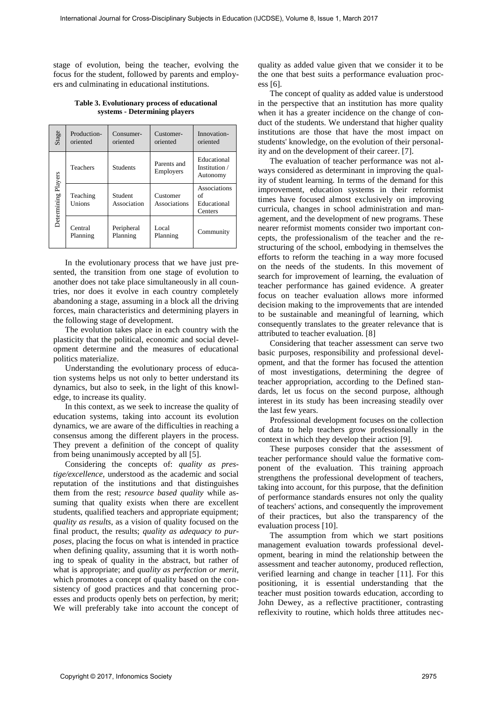stage of evolution, being the teacher, evolving the focus for the student, followed by parents and employers and culminating in educational institutions.

**Table 3. Evolutionary process of educational systems - Determining players** 

| Stage               | Production-<br>oriented | Consumer-<br>oriented  | Customer-<br>oriented           | Innovation-<br>oriented                      |
|---------------------|-------------------------|------------------------|---------------------------------|----------------------------------------------|
|                     | <b>Teachers</b>         | <b>Students</b>        | Parents and<br><b>Employers</b> | Educational<br>Institution /<br>Autonomy     |
| Determining Players | Teaching<br>Unions      | Student<br>Association | Customer<br>Associations        | Associations<br>of<br>Educational<br>Centers |
|                     | Central<br>Planning     | Peripheral<br>Planning | Local<br>Planning               | Community                                    |

In the evolutionary process that we have just presented, the transition from one stage of evolution to another does not take place simultaneously in all countries, nor does it evolve in each country completely abandoning a stage, assuming in a block all the driving forces, main characteristics and determining players in the following stage of development.

The evolution takes place in each country with the plasticity that the political, economic and social development determine and the measures of educational politics materialize.

Understanding the evolutionary process of education systems helps us not only to better understand its dynamics, but also to seek, in the light of this knowledge, to increase its quality.

In this context, as we seek to increase the quality of education systems, taking into account its evolution dynamics, we are aware of the difficulties in reaching a consensus among the different players in the process. They prevent a definition of the concept of quality from being unanimously accepted by all [5].

Considering the concepts of: *quality as prestige/excellence,* understood as the academic and social reputation of the institutions and that distinguishes them from the rest; *resource based quality* while assuming that quality exists when there are excellent students, qualified teachers and appropriate equipment; *quality as results*, as a vision of quality focused on the final product, the results; *quality as adequacy to purposes*, placing the focus on what is intended in practice when defining quality, assuming that it is worth nothing to speak of quality in the abstract, but rather of what is appropriate; and *quality as perfection or merit*, which promotes a concept of quality based on the consistency of good practices and that concerning processes and products openly bets on perfection, by merit; We will preferably take into account the concept of

quality as added value given that we consider it to be the one that best suits a performance evaluation process [6].

The concept of quality as added value is understood in the perspective that an institution has more quality when it has a greater incidence on the change of conduct of the students. We understand that higher quality institutions are those that have the most impact on students' knowledge, on the evolution of their personality and on the development of their career. [7].

The evaluation of teacher performance was not always considered as determinant in improving the quality of student learning. In terms of the demand for this improvement, education systems in their reformist times have focused almost exclusively on improving curricula, changes in school administration and management, and the development of new programs. These nearer reformist moments consider two important concepts, the professionalism of the teacher and the restructuring of the school, embodying in themselves the efforts to reform the teaching in a way more focused on the needs of the students. In this movement of search for improvement of learning, the evaluation of teacher performance has gained evidence. A greater focus on teacher evaluation allows more informed decision making to the improvements that are intended to be sustainable and meaningful of learning, which consequently translates to the greater relevance that is attributed to teacher evaluation. [8] **Frame Coronactions** Constraints in the state of the state of the state of the state of the state of the state of Cross-Disciplinary Subjects in Eq. (1) and the state of the state of the state of Cross-Disciplinary Const

Considering that teacher assessment can serve two basic purposes, responsibility and professional development, and that the former has focused the attention of most investigations, determining the degree of teacher appropriation, according to the Defined standards, let us focus on the second purpose, although interest in its study has been increasing steadily over the last few years.

Professional development focuses on the collection of data to help teachers grow professionally in the context in which they develop their action [9].

These purposes consider that the assessment of teacher performance should value the formative component of the evaluation. This training approach strengthens the professional development of teachers, taking into account, for this purpose, that the definition of performance standards ensures not only the quality of teachers' actions, and consequently the improvement of their practices, but also the transparency of the evaluation process [10].

The assumption from which we start positions management evaluation towards professional development, bearing in mind the relationship between the assessment and teacher autonomy, produced reflection, verified learning and change in teacher [11]. For this positioning, it is essential understanding that the teacher must position towards education, according to John Dewey, as a reflective practitioner, contrasting reflexivity to routine, which holds three attitudes nec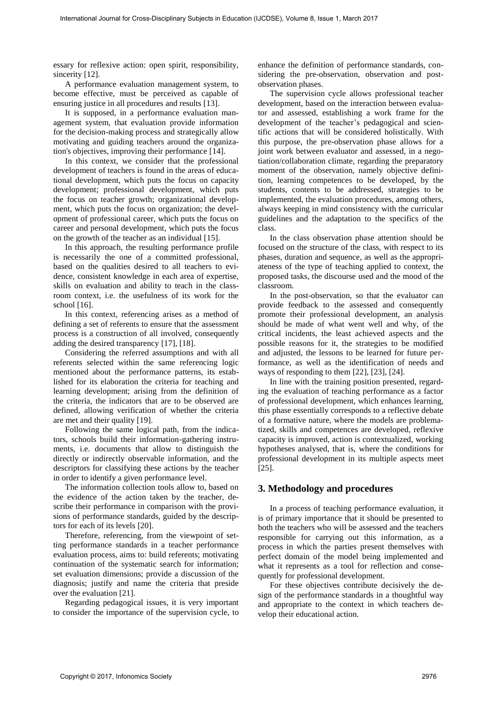essary for reflexive action: open spirit, responsibility, sincerity [12].

A performance evaluation management system, to become effective, must be perceived as capable of ensuring justice in all procedures and results [13].

It is supposed, in a performance evaluation management system, that evaluation provide information for the decision-making process and strategically allow motivating and guiding teachers around the organization's objectives, improving their performance [14].

In this context, we consider that the professional development of teachers is found in the areas of educational development, which puts the focus on capacity development; professional development, which puts the focus on teacher growth; organizational development, which puts the focus on organization; the development of professional career, which puts the focus on career and personal development, which puts the focus on the growth of the teacher as an individual [15].

In this approach, the resulting performance profile is necessarily the one of a committed professional, based on the qualities desired to all teachers to evidence, consistent knowledge in each area of expertise, skills on evaluation and ability to teach in the classroom context, i.e. the usefulness of its work for the school [16].

In this context, referencing arises as a method of defining a set of referents to ensure that the assessment process is a construction of all involved, consequently adding the desired transparency [17], [18].

Considering the referred assumptions and with all referents selected within the same referencing logic mentioned about the performance patterns, its established for its elaboration the criteria for teaching and learning development; arising from the definition of the criteria, the indicators that are to be observed are defined, allowing verification of whether the criteria are met and their quality [19].

Following the same logical path, from the indicators, schools build their information-gathering instruments, i.e. documents that allow to distinguish the directly or indirectly observable information, and the descriptors for classifying these actions by the teacher in order to identify a given performance level.

The information collection tools allow to, based on the evidence of the action taken by the teacher, describe their performance in comparison with the provisions of performance standards, guided by the descriptors for each of its levels [20].

Therefore, referencing, from the viewpoint of setting performance standards in a teacher performance evaluation process, aims to: build referents; motivating continuation of the systematic search for information; set evaluation dimensions; provide a discussion of the diagnosis; justify and name the criteria that preside over the evaluation [21].

Regarding pedagogical issues, it is very important to consider the importance of the supervision cycle, to enhance the definition of performance standards, considering the pre-observation, observation and postobservation phases.

The supervision cycle allows professional teacher development, based on the interaction between evaluator and assessed, establishing a work frame for the development of the teacher's pedagogical and scientific actions that will be considered holistically. With this purpose, the pre-observation phase allows for a joint work between evaluator and assessed, in a negotiation/collaboration climate, regarding the preparatory moment of the observation, namely objective definition, learning competences to be developed, by the students, contents to be addressed, strategies to be implemented, the evaluation procedures, among others, always keeping in mind consistency with the curricular guidelines and the adaptation to the specifics of the class. For the appears of the cross-Discipline is the cross-Discipline in the cross-Disciplinary Subjects in the cross-Disciplinary Subjects in the cross-Disciplinary Subjects in the cross-Disciplinary Subjects in the cross-Disc

In the class observation phase attention should be focused on the structure of the class, with respect to its phases, duration and sequence, as well as the appropriateness of the type of teaching applied to context, the proposed tasks, the discourse used and the mood of the classroom.

In the post-observation, so that the evaluator can provide feedback to the assessed and consequently promote their professional development, an analysis should be made of what went well and why, of the critical incidents, the least achieved aspects and the possible reasons for it, the strategies to be modified and adjusted, the lessons to be learned for future performance, as well as the identification of needs and ways of responding to them [22], [23], [24].

In line with the training position presented, regarding the evaluation of teaching performance as a factor of professional development, which enhances learning, this phase essentially corresponds to a reflective debate of a formative nature, where the models are problematized, skills and competences are developed, reflexive capacity is improved, action is contextualized, working hypotheses analysed, that is, where the conditions for professional development in its multiple aspects meet [25].

## **3. Methodology and procedures**

In a process of teaching performance evaluation, it is of primary importance that it should be presented to both the teachers who will be assessed and the teachers responsible for carrying out this information, as a process in which the parties present themselves with perfect domain of the model being implemented and what it represents as a tool for reflection and consequently for professional development.

For these objectives contribute decisively the design of the performance standards in a thoughtful way and appropriate to the context in which teachers develop their educational action.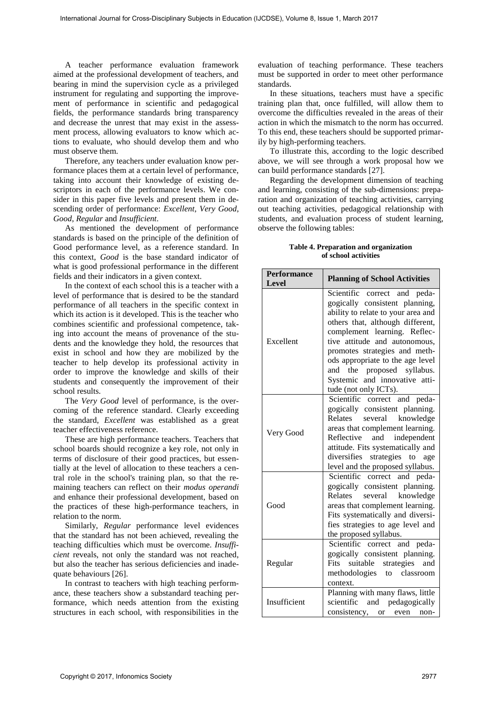#### **Table 4. Preparation and organization of school activities**

| International Journal for Cross-Disciplinary Subjects in Education (IJCDSE), Volume 8, Issue 1, March 2017                                                                                                                                                                                                                                                                                                                                                                                                                                                                                                                                                                                                                                                                                                                                                                                                                                                                                                                                                                                                                                                                                                                                                                                                                                                                                                                                                                                                                                                                                                                                        |                                                                                 |                                                                                                                                                                                                                                                                                                                                                                                                                                                                                                                                                                                                                                                                                                                                                                                                                                                    |
|---------------------------------------------------------------------------------------------------------------------------------------------------------------------------------------------------------------------------------------------------------------------------------------------------------------------------------------------------------------------------------------------------------------------------------------------------------------------------------------------------------------------------------------------------------------------------------------------------------------------------------------------------------------------------------------------------------------------------------------------------------------------------------------------------------------------------------------------------------------------------------------------------------------------------------------------------------------------------------------------------------------------------------------------------------------------------------------------------------------------------------------------------------------------------------------------------------------------------------------------------------------------------------------------------------------------------------------------------------------------------------------------------------------------------------------------------------------------------------------------------------------------------------------------------------------------------------------------------------------------------------------------------|---------------------------------------------------------------------------------|----------------------------------------------------------------------------------------------------------------------------------------------------------------------------------------------------------------------------------------------------------------------------------------------------------------------------------------------------------------------------------------------------------------------------------------------------------------------------------------------------------------------------------------------------------------------------------------------------------------------------------------------------------------------------------------------------------------------------------------------------------------------------------------------------------------------------------------------------|
| A teacher performance evaluation framework<br>med at the professional development of teachers, and<br>aring in mind the supervision cycle as a privileged<br>strument for regulating and supporting the improve-<br>ent of performance in scientific and pedagogical<br>elds, the performance standards bring transparency<br>d decrease the unrest that may exist in the assess-<br>ent process, allowing evaluators to know which ac-<br>ons to evaluate, who should develop them and who<br>ust observe them.<br>Therefore, any teachers under evaluation know per-<br>rmance places them at a certain level of performance,<br>king into account their knowledge of existing de-<br>riptors in each of the performance levels. We con-<br>der in this paper five levels and present them in de-<br>ending order of performance: Excellent, Very Good,<br>ood, Regular and Insufficient.<br>As mentioned the development of performance                                                                                                                                                                                                                                                                                                                                                                                                                                                                                                                                                                                                                                                                                                        | standards.<br>ily by high-performing teachers.<br>observe the following tables: | evaluation of teaching performance. These teacher<br>must be supported in order to meet other performanc<br>In these situations, teachers must have a specifi<br>training plan that, once fulfilled, will allow them to<br>overcome the difficulties revealed in the areas of their<br>action in which the mismatch to the norm has occurred<br>To this end, these teachers should be supported primar<br>To illustrate this, according to the logic describe<br>above, we will see through a work proposal how w<br>can build performance standards [27].<br>Regarding the development dimension of teaching<br>and learning, consisting of the sub-dimensions: prepa<br>ration and organization of teaching activities, carryin<br>out teaching activities, pedagogical relationship wit<br>students, and evaluation process of student learning |
| andards is based on the principle of the definition of<br>ood performance level, as a reference standard. In<br>is context, Good is the base standard indicator of<br>hat is good professional performance in the different                                                                                                                                                                                                                                                                                                                                                                                                                                                                                                                                                                                                                                                                                                                                                                                                                                                                                                                                                                                                                                                                                                                                                                                                                                                                                                                                                                                                                       |                                                                                 | Table 4. Preparation and organization<br>of school activities                                                                                                                                                                                                                                                                                                                                                                                                                                                                                                                                                                                                                                                                                                                                                                                      |
| elds and their indicators in a given context.<br>In the context of each school this is a teacher with a                                                                                                                                                                                                                                                                                                                                                                                                                                                                                                                                                                                                                                                                                                                                                                                                                                                                                                                                                                                                                                                                                                                                                                                                                                                                                                                                                                                                                                                                                                                                           | <b>Performance</b><br><b>Level</b>                                              | <b>Planning of School Activities</b>                                                                                                                                                                                                                                                                                                                                                                                                                                                                                                                                                                                                                                                                                                                                                                                                               |
| vel of performance that is desired to be the standard<br>erformance of all teachers in the specific context in<br>hich its action is it developed. This is the teacher who<br>mbines scientific and professional competence, tak-<br>g into account the means of provenance of the stu-<br>ents and the knowledge they hold, the resources that<br>ist in school and how they are mobilized by the<br>acher to help develop its professional activity in<br>der to improve the knowledge and skills of their<br>adents and consequently the improvement of their<br>hool results.<br>The Very Good level of performance, is the over-<br>ming of the reference standard. Clearly exceeding<br>e standard, Excellent was established as a great<br>acher effectiveness reference.<br>These are high performance teachers. Teachers that<br>hool boards should recognize a key role, not only in<br>rms of disclosure of their good practices, but essen-<br>ally at the level of allocation to these teachers a cen-<br>al role in the school's training plan, so that the re-<br>aining teachers can reflect on their <i>modus operandi</i><br>d enhance their professional development, based on<br>e practices of these high-performance teachers, in<br>lation to the norm.<br>Similarly, Regular performance level evidences<br>at the standard has not been achieved, revealing the<br>aching difficulties which must be overcome. Insuffi-<br>ent reveals, not only the standard was not reached,<br>it also the teacher has serious deficiencies and inade-<br>ate behaviours [26].<br>In contrast to teachers with high teaching perform- | Excellent                                                                       | Scientific correct and peda-<br>gogically consistent planning,<br>ability to relate to your area and<br>others that, although different,<br>complement learning. Reflec-<br>tive attitude and autonomous,<br>promotes strategies and meth-<br>ods appropriate to the age level<br>and the proposed syllabus.<br>Systemic and innovative atti-<br>tude (not only ICTs).                                                                                                                                                                                                                                                                                                                                                                                                                                                                             |
|                                                                                                                                                                                                                                                                                                                                                                                                                                                                                                                                                                                                                                                                                                                                                                                                                                                                                                                                                                                                                                                                                                                                                                                                                                                                                                                                                                                                                                                                                                                                                                                                                                                   | Very Good                                                                       | Scientific correct and peda-<br>gogically consistent planning.<br>Relates<br>several<br>knowledge<br>areas that complement learning.<br>Reflective<br>and<br>independent<br>attitude. Fits systematically and<br>diversifies strategies to age<br>level and the proposed syllabus.                                                                                                                                                                                                                                                                                                                                                                                                                                                                                                                                                                 |
|                                                                                                                                                                                                                                                                                                                                                                                                                                                                                                                                                                                                                                                                                                                                                                                                                                                                                                                                                                                                                                                                                                                                                                                                                                                                                                                                                                                                                                                                                                                                                                                                                                                   | Good                                                                            | Scientific correct and peda-<br>gogically consistent planning.<br>Relates<br>several<br>knowledge<br>areas that complement learning.<br>Fits systematically and diversi-<br>fies strategies to age level and<br>the proposed syllabus.                                                                                                                                                                                                                                                                                                                                                                                                                                                                                                                                                                                                             |
|                                                                                                                                                                                                                                                                                                                                                                                                                                                                                                                                                                                                                                                                                                                                                                                                                                                                                                                                                                                                                                                                                                                                                                                                                                                                                                                                                                                                                                                                                                                                                                                                                                                   | Regular                                                                         | Scientific correct and peda-<br>gogically consistent planning.<br>suitable<br>strategies<br>Fits<br>and<br>methodologies<br>classroom<br>to<br>context.                                                                                                                                                                                                                                                                                                                                                                                                                                                                                                                                                                                                                                                                                            |
| ice, these teachers show a substandard teaching per-<br>rmance, which needs attention from the existing<br>ructures in each school, with responsibilities in the                                                                                                                                                                                                                                                                                                                                                                                                                                                                                                                                                                                                                                                                                                                                                                                                                                                                                                                                                                                                                                                                                                                                                                                                                                                                                                                                                                                                                                                                                  | Insufficient                                                                    | Planning with many flaws, little<br>scientific and pedagogically<br>consistency,<br><b>or</b><br>even<br>non-                                                                                                                                                                                                                                                                                                                                                                                                                                                                                                                                                                                                                                                                                                                                      |
| Copyright © 2017, Infonomics Society                                                                                                                                                                                                                                                                                                                                                                                                                                                                                                                                                                                                                                                                                                                                                                                                                                                                                                                                                                                                                                                                                                                                                                                                                                                                                                                                                                                                                                                                                                                                                                                                              |                                                                                 | 2977                                                                                                                                                                                                                                                                                                                                                                                                                                                                                                                                                                                                                                                                                                                                                                                                                                               |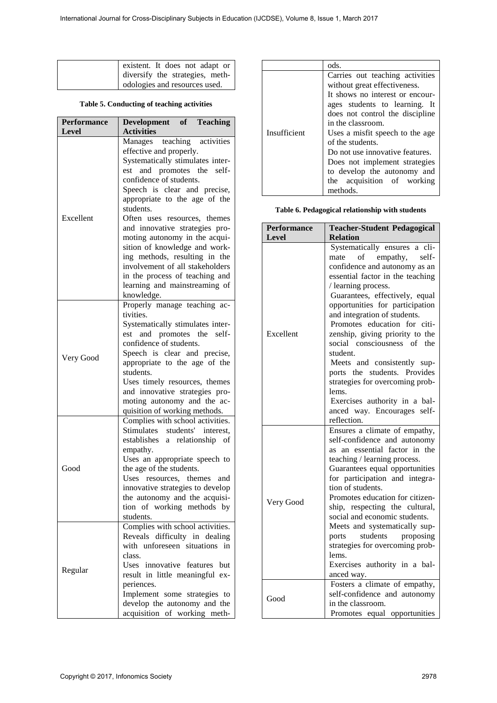| existent. It does not adapt or  |
|---------------------------------|
| diversify the strategies, meth- |
| dologies and resources used.    |

## **Table 5. Conducting of teaching activities**

|                    | existent. It does not adapt or<br>diversify the strategies, meth-<br>odologies and resources used.<br>Table 5. Conducting of teaching activities                                                                                                                                                                                                            |                             | ods.<br>Carries out teaching activities<br>without great effectiveness.<br>It shows no interest or encour-<br>ages students to learning. It                                                                                                                                                                                          |
|--------------------|-------------------------------------------------------------------------------------------------------------------------------------------------------------------------------------------------------------------------------------------------------------------------------------------------------------------------------------------------------------|-----------------------------|--------------------------------------------------------------------------------------------------------------------------------------------------------------------------------------------------------------------------------------------------------------------------------------------------------------------------------------|
| <b>Performance</b> | <b>Teaching</b><br><b>Development</b><br>of                                                                                                                                                                                                                                                                                                                 |                             | does not control the discipline<br>in the classroom.                                                                                                                                                                                                                                                                                 |
| Level              | <b>Activities</b><br>teaching<br>activities<br>Manages<br>effective and properly.<br>Systematically stimulates inter-<br>est and promotes the self-<br>confidence of students.<br>Speech is clear and precise,                                                                                                                                              | Insufficient                | Uses a misfit speech to the age<br>of the students.<br>Do not use innovative features.<br>Does not implement strategies<br>to develop the autonomy and<br>the acquisition of working<br>methods.                                                                                                                                     |
| Excellent          | appropriate to the age of the<br>students.<br>Often uses resources, themes                                                                                                                                                                                                                                                                                  |                             | Table 6. Pedagogical relationship with students                                                                                                                                                                                                                                                                                      |
|                    | and innovative strategies pro-<br>moting autonomy in the acqui-                                                                                                                                                                                                                                                                                             | <b>Performance</b><br>Level | <b>Teacher-Student Pedagogical</b><br><b>Relation</b>                                                                                                                                                                                                                                                                                |
|                    | sition of knowledge and work-<br>ing methods, resulting in the<br>involvement of all stakeholders<br>in the process of teaching and<br>learning and mainstreaming of<br>knowledge.<br>Properly manage teaching ac-                                                                                                                                          |                             | Systematically ensures a cli-<br>of<br>empathy,<br>self-<br>mate<br>confidence and autonomy as an<br>essential factor in the teaching<br>/ learning process.<br>Guarantees, effectively, equal<br>opportunities for participation                                                                                                    |
| Very Good          | tivities.<br>Systematically stimulates inter-<br>est and promotes the self-<br>confidence of students.<br>Speech is clear and precise,<br>appropriate to the age of the<br>students.<br>Uses timely resources, themes<br>and innovative strategies pro-<br>moting autonomy and the ac-<br>quisition of working methods.<br>Complies with school activities. | Excellent                   | and integration of students.<br>Promotes education for citi-<br>zenship, giving priority to the<br>social consciousness of the<br>student.<br>Meets and consistently sup-<br>ports the students. Provides<br>strategies for overcoming prob-<br>lems.<br>Exercises authority in a bal-<br>anced way. Encourages self-<br>reflection. |
| Good               | Stimulates students' interest,<br>establishes a relationship of<br>empathy.<br>Uses an appropriate speech to<br>the age of the students.<br>Uses resources, themes and<br>innovative strategies to develop<br>the autonomy and the acquisi-<br>tion of working methods by<br>students.                                                                      | Very Good                   | Ensures a climate of empathy,<br>self-confidence and autonomy<br>as an essential factor in the<br>teaching / learning process.<br>Guarantees equal opportunities<br>for participation and integra-<br>tion of students.<br>Promotes education for citizen-<br>ship, respecting the cultural,<br>social and economic students.        |
| Regular            | Complies with school activities.<br>Reveals difficulty in dealing<br>with unforeseen situations in<br>class.<br>Uses innovative features but<br>result in little meaningful ex-                                                                                                                                                                             |                             | Meets and systematically sup-<br>students<br>proposing<br>ports<br>strategies for overcoming prob-<br>lems.<br>Exercises authority in a bal-<br>anced way.                                                                                                                                                                           |
|                    | periences.<br>Implement some strategies to<br>develop the autonomy and the<br>acquisition of working meth-                                                                                                                                                                                                                                                  | Good                        | Fosters a climate of empathy,<br>self-confidence and autonomy<br>in the classroom.<br>Promotes equal opportunities                                                                                                                                                                                                                   |

|              | ods.                            |
|--------------|---------------------------------|
|              | Carries out teaching activities |
|              | without great effectiveness.    |
|              | It shows no interest or encour- |
|              | ages students to learning. It   |
|              | does not control the discipline |
|              | in the classroom.               |
| Insufficient | Uses a misfit speech to the age |
|              | of the students.                |
|              | Do not use innovative features. |
|              | Does not implement strategies   |
|              | to develop the autonomy and     |
|              | the acquisition of working      |
|              | methods.                        |

| <b>Performance</b><br>Level | <b>Teacher-Student Pedagogical</b><br><b>Relation</b>                                                                                                                                                                                                                                                                                                                                                                                                                                                                                                   |
|-----------------------------|---------------------------------------------------------------------------------------------------------------------------------------------------------------------------------------------------------------------------------------------------------------------------------------------------------------------------------------------------------------------------------------------------------------------------------------------------------------------------------------------------------------------------------------------------------|
| Excellent                   | Systematically ensures a cli-<br>of<br>empathy, self-<br>mate<br>confidence and autonomy as an<br>essential factor in the teaching<br>/ learning process.<br>Guarantees, effectively, equal<br>opportunities for participation<br>and integration of students.<br>Promotes education for citi-<br>zenship, giving priority to the<br>social consciousness of the<br>student.<br>Meets and consistently sup-<br>ports the students. Provides<br>strategies for overcoming prob-<br>lems.<br>Exercises authority in a bal-<br>anced way. Encourages self- |
| Very Good                   | reflection.<br>Ensures a climate of empathy,<br>self-confidence and autonomy<br>as an essential factor in the<br>teaching / learning process.<br>Guarantees equal opportunities<br>for participation and integra-<br>tion of students.<br>Promotes education for citizen-<br>ship, respecting the cultural,<br>social and economic students.<br>Meets and systematically sup-<br>students<br>proposing<br>ports                                                                                                                                         |
| Good                        | strategies for overcoming prob-<br>lems.<br>Exercises authority in a bal-<br>anced way.<br>Fosters a climate of empathy,<br>self-confidence and autonomy<br>in the classroom.<br>Promotes equal opportunities                                                                                                                                                                                                                                                                                                                                           |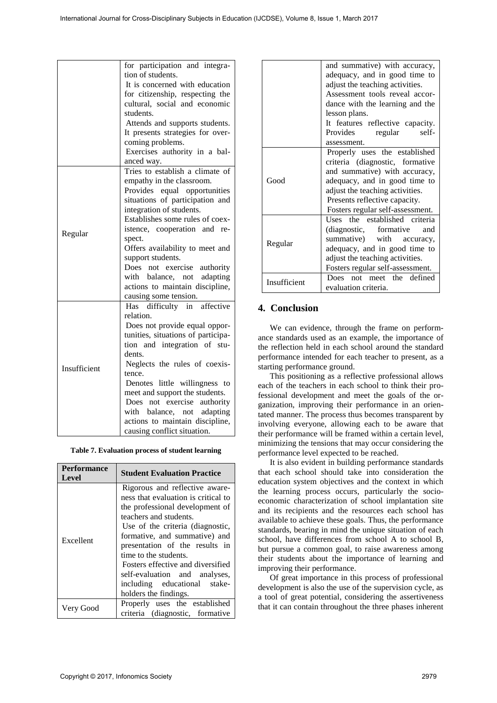|                                      | for participation and integra-<br>tion of students.<br>It is concerned with education<br>for citizenship, respecting the<br>cultural, social and economic<br>students.<br>Attends and supports students.<br>It presents strategies for over-                                                                                                                                                                                                |                                                                                                                                                                                                                                                                                                                                                                                                                                                                                                                                                                                                                                                                                                                                                                        | and summative) with accuracy,<br>adequacy, and in good time to<br>adjust the teaching activities.<br>Assessment tools reveal accor-<br>dance with the learning and the<br>lesson plans.<br>It features reflective capacity.<br>Provides<br>regular<br>self-                                                                                                                                                                                                                                                                                                                                                      |  |
|--------------------------------------|---------------------------------------------------------------------------------------------------------------------------------------------------------------------------------------------------------------------------------------------------------------------------------------------------------------------------------------------------------------------------------------------------------------------------------------------|------------------------------------------------------------------------------------------------------------------------------------------------------------------------------------------------------------------------------------------------------------------------------------------------------------------------------------------------------------------------------------------------------------------------------------------------------------------------------------------------------------------------------------------------------------------------------------------------------------------------------------------------------------------------------------------------------------------------------------------------------------------------|------------------------------------------------------------------------------------------------------------------------------------------------------------------------------------------------------------------------------------------------------------------------------------------------------------------------------------------------------------------------------------------------------------------------------------------------------------------------------------------------------------------------------------------------------------------------------------------------------------------|--|
|                                      | coming problems.<br>Exercises authority in a bal-<br>anced way.<br>Tries to establish a climate of<br>empathy in the classroom.<br>Provides equal opportunities<br>situations of participation and<br>integration of students.                                                                                                                                                                                                              | Good                                                                                                                                                                                                                                                                                                                                                                                                                                                                                                                                                                                                                                                                                                                                                                   | assessment.<br>Properly uses the established<br>criteria (diagnostic, formative<br>and summative) with accuracy,<br>adequacy, and in good time to<br>adjust the teaching activities.<br>Presents reflective capacity.<br>Fosters regular self-assessment.                                                                                                                                                                                                                                                                                                                                                        |  |
| Regular                              | Establishes some rules of coex-<br>istence, cooperation and re-<br>spect.<br>Offers availability to meet and<br>support students.<br>Does not exercise authority                                                                                                                                                                                                                                                                            | Regular                                                                                                                                                                                                                                                                                                                                                                                                                                                                                                                                                                                                                                                                                                                                                                | Uses the established criteria<br>(diagnostic,<br>formative<br>and<br>with<br>summative)<br>accuracy,<br>adequacy, and in good time to<br>adjust the teaching activities.<br>Fosters regular self-assessment.                                                                                                                                                                                                                                                                                                                                                                                                     |  |
|                                      | with balance, not adapting<br>actions to maintain discipline,<br>causing some tension.<br>Has difficulty in affective                                                                                                                                                                                                                                                                                                                       | Insufficient<br>4. Conclusion                                                                                                                                                                                                                                                                                                                                                                                                                                                                                                                                                                                                                                                                                                                                          | Does not meet the defined<br>evaluation criteria.                                                                                                                                                                                                                                                                                                                                                                                                                                                                                                                                                                |  |
| Insufficient                         | relation.<br>Does not provide equal oppor-<br>tunities, situations of participa-<br>tion and integration of stu-<br>dents.<br>Neglects the rules of coexis-<br>tence.<br>Denotes little willingness to<br>meet and support the students.<br>Does not exercise authority<br>with balance, not adapting<br>actions to maintain discipline,<br>causing conflict situation.                                                                     | starting performance ground.                                                                                                                                                                                                                                                                                                                                                                                                                                                                                                                                                                                                                                                                                                                                           | We can evidence, through the frame on perform<br>ance standards used as an example, the importance<br>the reflection held in each school around the standa<br>performance intended for each teacher to present, as<br>This positioning as a reflective professional alloy<br>each of the teachers in each school to think their pr<br>fessional development and meet the goals of the o<br>ganization, improving their performance in an orie<br>tated manner. The process thus becomes transparent<br>involving everyone, allowing each to be aware th<br>their performance will be framed within a certain lev |  |
|                                      | Table 7. Evaluation process of student learning                                                                                                                                                                                                                                                                                                                                                                                             |                                                                                                                                                                                                                                                                                                                                                                                                                                                                                                                                                                                                                                                                                                                                                                        | minimizing the tensions that may occur considering t<br>performance level expected to be reached.                                                                                                                                                                                                                                                                                                                                                                                                                                                                                                                |  |
| Performance<br><b>Level</b>          | <b>Student Evaluation Practice</b>                                                                                                                                                                                                                                                                                                                                                                                                          |                                                                                                                                                                                                                                                                                                                                                                                                                                                                                                                                                                                                                                                                                                                                                                        | It is also evident in building performance standar<br>that each school should take into consideration t                                                                                                                                                                                                                                                                                                                                                                                                                                                                                                          |  |
| Excellent                            | Rigorous and reflective aware-<br>ness that evaluation is critical to<br>the professional development of<br>teachers and students.<br>Use of the criteria (diagnostic,<br>formative, and summative) and<br>presentation of the results in<br>time to the students.<br>Fosters effective and diversified<br>self-evaluation and<br>analyses,<br>including<br>educational<br>stake-<br>holders the findings.<br>Properly uses the established | education system objectives and the context in whi<br>the learning process occurs, particularly the soci<br>economic characterization of school implantation s<br>and its recipients and the resources each school h<br>available to achieve these goals. Thus, the performan<br>standards, bearing in mind the unique situation of ea<br>school, have differences from school A to school<br>but pursue a common goal, to raise awareness amon<br>their students about the importance of learning a<br>improving their performance.<br>Of great importance in this process of profession<br>development is also the use of the supervision cycle,<br>a tool of great potential, considering the assertivene<br>that it can contain throughout the three phases inhere |                                                                                                                                                                                                                                                                                                                                                                                                                                                                                                                                                                                                                  |  |
| Very Good                            | criteria (diagnostic, formative                                                                                                                                                                                                                                                                                                                                                                                                             |                                                                                                                                                                                                                                                                                                                                                                                                                                                                                                                                                                                                                                                                                                                                                                        |                                                                                                                                                                                                                                                                                                                                                                                                                                                                                                                                                                                                                  |  |
| Copyright © 2017, Infonomics Society |                                                                                                                                                                                                                                                                                                                                                                                                                                             |                                                                                                                                                                                                                                                                                                                                                                                                                                                                                                                                                                                                                                                                                                                                                                        | 2979                                                                                                                                                                                                                                                                                                                                                                                                                                                                                                                                                                                                             |  |

| Table 7. Evaluation process of student learning |
|-------------------------------------------------|
|-------------------------------------------------|

| <b>Performance</b><br>Level                                                   | <b>Student Evaluation Practice</b>                                                                                                                                                                                                                                                                                                                                                                |  |  |
|-------------------------------------------------------------------------------|---------------------------------------------------------------------------------------------------------------------------------------------------------------------------------------------------------------------------------------------------------------------------------------------------------------------------------------------------------------------------------------------------|--|--|
| Excellent                                                                     | Rigorous and reflective aware-<br>ness that evaluation is critical to<br>the professional development of<br>teachers and students.<br>Use of the criteria (diagnostic,<br>formative, and summative) and<br>presentation of the results in<br>time to the students.<br>Fosters effective and diversified<br>self-evaluation and analyses,<br>including educational stake-<br>holders the findings. |  |  |
| Properly uses the established<br>Very Good<br>criteria (diagnostic, formative |                                                                                                                                                                                                                                                                                                                                                                                                   |  |  |

|              | and summative) with accuracy,<br>adequacy, and in good time to<br>adjust the teaching activities.<br>Assessment tools reveal accor-<br>dance with the learning and the<br>lesson plans.<br>It features reflective capacity.                |
|--------------|--------------------------------------------------------------------------------------------------------------------------------------------------------------------------------------------------------------------------------------------|
|              | Provides<br>self-<br>regular<br>assessment.                                                                                                                                                                                                |
| Good         | Properly uses the established<br>criteria (diagnostic, formative<br>and summative) with accuracy,<br>adequacy, and in good time to<br>adjust the teaching activities.<br>Presents reflective capacity.<br>Fosters regular self-assessment. |
| Regular      | Uses the established criteria<br>(diagnostic, formative<br>and<br>summative) with accuracy,<br>adequacy, and in good time to<br>adjust the teaching activities.<br>Fosters regular self-assessment.                                        |
| Insufficient | Does not meet the defined<br>evaluation criteria.                                                                                                                                                                                          |

# **4. Conclusion**

We can evidence, through the frame on performance standards used as an example, the importance of the reflection held in each school around the standard performance intended for each teacher to present, as a starting performance ground.

It is also evident in building performance standards that each school should take into consideration the education system objectives and the context in which the learning process occurs, particularly the socioeconomic characterization of school implantation site and its recipients and the resources each school has available to achieve these goals. Thus, the performance standards, bearing in mind the unique situation of each school, have differences from school A to school B, but pursue a common goal, to raise awareness among their students about the importance of learning and improving their performance.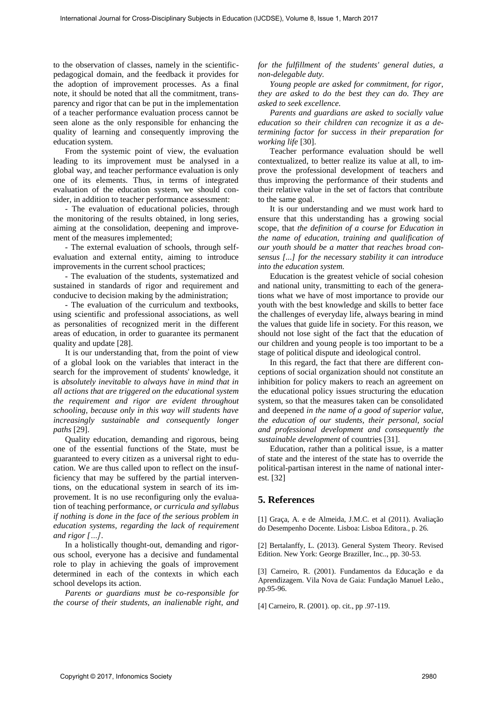to the observation of classes, namely in the scientificpedagogical domain, and the feedback it provides for the adoption of improvement processes. As a final note, it should be noted that all the commitment, transparency and rigor that can be put in the implementation of a teacher performance evaluation process cannot be seen alone as the only responsible for enhancing the quality of learning and consequently improving the education system.

From the systemic point of view, the evaluation leading to its improvement must be analysed in a global way, and teacher performance evaluation is only one of its elements. Thus, in terms of integrated evaluation of the education system, we should consider, in addition to teacher performance assessment:

- The evaluation of educational policies, through the monitoring of the results obtained, in long series, aiming at the consolidation, deepening and improvement of the measures implemented;

- The external evaluation of schools, through selfevaluation and external entity, aiming to introduce improvements in the current school practices;

- The evaluation of the students, systematized and sustained in standards of rigor and requirement and conducive to decision making by the administration;

- The evaluation of the curriculum and textbooks, using scientific and professional associations, as well as personalities of recognized merit in the different areas of education, in order to guarantee its permanent quality and update [28].

It is our understanding that, from the point of view of a global look on the variables that interact in the search for the improvement of students' knowledge, it is *absolutely inevitable to always have in mind that in all actions that are triggered on the educational system the requirement and rigor are evident throughout schooling, because only in this way will students have increasingly sustainable and consequently longer paths* [29].

Quality education, demanding and rigorous, being one of the essential functions of the State, must be guaranteed to every citizen as a universal right to education. We are thus called upon to reflect on the insufficiency that may be suffered by the partial interventions, on the educational system in search of its improvement. It is no use reconfiguring only the evaluation of teaching performance, *or curricula and syllabus if nothing is done in the face of the serious problem in education systems, regarding the lack of requirement and rigor […]*. For the cross-bin international For Cross-Disciplinary Superior Enter the Real Form of the Cross-Disciplinary of Cross-Disciplinary Cross-Disciplinary Cross-Disciplinary Cross-Disciplinary Cross-Disciplinary Cross-Discipl

In a holistically thought-out, demanding and rigorous school, everyone has a decisive and fundamental role to play in achieving the goals of improvement determined in each of the contexts in which each school develops its action.

*Parents or guardians must be co-responsible for the course of their students, an inalienable right, and*  *for the fulfillment of the students' general duties, a non-delegable duty.* 

*Young people are asked for commitment, for rigor, they are asked to do the best they can do. They are asked to seek excellence.* 

*Parents and guardians are asked to socially value education so their children can recognize it as a determining factor for success in their preparation for working life* [30].

Teacher performance evaluation should be well contextualized, to better realize its value at all, to improve the professional development of teachers and thus improving the performance of their students and their relative value in the set of factors that contribute to the same goal.

It is our understanding and we must work hard to ensure that this understanding has a growing social scope, that *the definition of a course for Education in the name of education, training and qualification of our youth should be a matter that reaches broad consensus [...] for the necessary stability it can introduce into the education system.* 

Education is the greatest vehicle of social cohesion and national unity, transmitting to each of the generations what we have of most importance to provide our youth with the best knowledge and skills to better face the challenges of everyday life, always bearing in mind the values that guide life in society. For this reason, we should not lose sight of the fact that the education of our children and young people is too important to be a stage of political dispute and ideological control.

In this regard, the fact that there are different conceptions of social organization should not constitute an inhibition for policy makers to reach an agreement on the educational policy issues structuring the education system, so that the measures taken can be consolidated and deepened *in the name of a good of superior value, the education of our students, their personal, social and professional development and consequently the sustainable development* of countries [31].

Education, rather than a political issue, is a matter of state and the interest of the state has to override the political-partisan interest in the name of national interest. [32]

# **5. References**

[1] Graça, A. e de Almeida, J.M.C. et al (2011). Avaliação do Desempenho Docente. Lisboa: Lisboa Editora., p. 26.

[2] Bertalanffy, L. (2013). General System Theory. Revised Edition. New York: George Braziller, Inc.., pp. 30-53.

[3] Carneiro, R. (2001). Fundamentos da Educação e da Aprendizagem. Vila Nova de Gaia: Fundação Manuel Leão., pp.95-96.

[4] Carneiro, R. (2001). op. cit., pp .97-119.